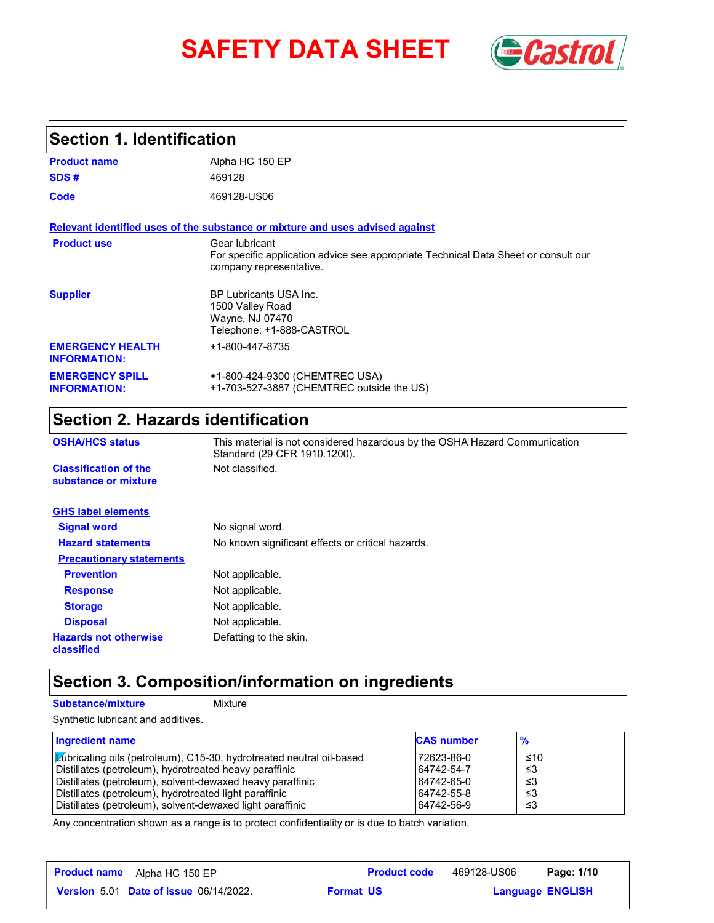# **SAFETY DATA SHEET** *Castrol*



## **Section 1. Identification**

| <b>Product name</b>                            | Alpha HC 150 EP                                                                                                                  |
|------------------------------------------------|----------------------------------------------------------------------------------------------------------------------------------|
| SDS#                                           | 469128                                                                                                                           |
| Code                                           | 469128-US06                                                                                                                      |
|                                                | Relevant identified uses of the substance or mixture and uses advised against                                                    |
| <b>Product use</b>                             | Gear Iubricant<br>For specific application advice see appropriate Technical Data Sheet or consult our<br>company representative. |
| <b>Supplier</b>                                | <b>BP Lubricants USA Inc.</b><br>1500 Valley Road<br>Wayne, NJ 07470<br>Telephone: +1-888-CASTROL                                |
| <b>EMERGENCY HEALTH</b><br><b>INFORMATION:</b> | +1-800-447-8735                                                                                                                  |
| <b>EMERGENCY SPILL</b><br><b>INFORMATION:</b>  | +1-800-424-9300 (CHEMTREC USA)<br>+1-703-527-3887 (CHEMTREC outside the US)                                                      |

## **Section 2. Hazards identification**

| <b>OSHA/HCS status</b>                               | This material is not considered hazardous by the OSHA Hazard Communication<br>Standard (29 CFR 1910.1200). |
|------------------------------------------------------|------------------------------------------------------------------------------------------------------------|
| <b>Classification of the</b><br>substance or mixture | Not classified.                                                                                            |
| <b>GHS label elements</b>                            |                                                                                                            |
| <b>Signal word</b>                                   | No signal word.                                                                                            |
| <b>Hazard statements</b>                             | No known significant effects or critical hazards.                                                          |
| <b>Precautionary statements</b>                      |                                                                                                            |
| <b>Prevention</b>                                    | Not applicable.                                                                                            |
| <b>Response</b>                                      | Not applicable.                                                                                            |
| <b>Storage</b>                                       | Not applicable.                                                                                            |
| <b>Disposal</b>                                      | Not applicable.                                                                                            |
| <b>Hazards not otherwise</b><br>classified           | Defatting to the skin.                                                                                     |

## **Section 3. Composition/information on ingredients**

#### **Substance/mixture Mixture**

Synthetic lubricant and additives.

| Ingredient name                                                             | <b>CAS number</b> | $\frac{9}{6}$ |
|-----------------------------------------------------------------------------|-------------------|---------------|
| <b>Lubricating oils (petroleum), C15-30, hydrotreated neutral oil-based</b> | 172623-86-0       | ≤10           |
| Distillates (petroleum), hydrotreated heavy paraffinic                      | 64742-54-7        | -≤3           |
| Distillates (petroleum), solvent-dewaxed heavy paraffinic                   | 64742-65-0        | -≤3           |
| Distillates (petroleum), hydrotreated light paraffinic                      | 64742-55-8        | -≤3           |
| Distillates (petroleum), solvent-dewaxed light paraffinic                   | 64742-56-9        | -≤3           |

Any concentration shown as a range is to protect confidentiality or is due to batch variation.

| <b>Product name</b><br>Alpha HC 150 EP        | <b>Product code</b> | 469128-US06 | Page: 1/10              |
|-----------------------------------------------|---------------------|-------------|-------------------------|
| <b>Version 5.01 Date of issue 06/14/2022.</b> | <b>Format US</b>    |             | <b>Language ENGLISH</b> |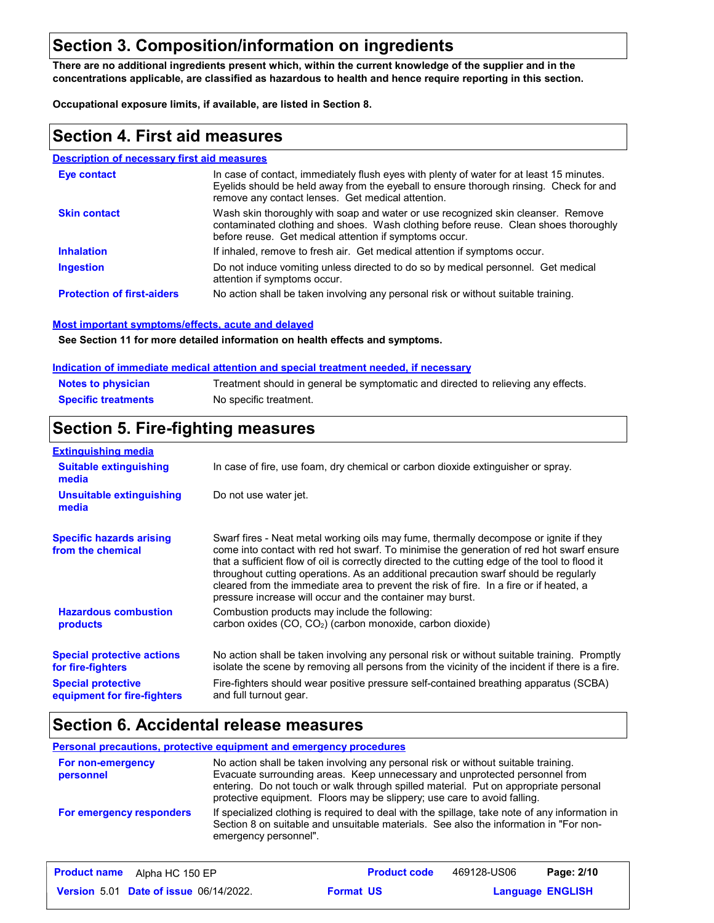## **Section 3. Composition/information on ingredients**

**There are no additional ingredients present which, within the current knowledge of the supplier and in the concentrations applicable, are classified as hazardous to health and hence require reporting in this section.**

**Occupational exposure limits, if available, are listed in Section 8.**

## **Section 4. First aid measures**

#### **Description of necessary first aid measures**

| <b>Eve contact</b>                | In case of contact, immediately flush eyes with plenty of water for at least 15 minutes.<br>Eyelids should be held away from the eyeball to ensure thorough rinsing. Check for and<br>remove any contact lenses. Get medical attention. |
|-----------------------------------|-----------------------------------------------------------------------------------------------------------------------------------------------------------------------------------------------------------------------------------------|
| <b>Skin contact</b>               | Wash skin thoroughly with soap and water or use recognized skin cleanser. Remove<br>contaminated clothing and shoes. Wash clothing before reuse. Clean shoes thoroughly<br>before reuse. Get medical attention if symptoms occur.       |
| <b>Inhalation</b>                 | If inhaled, remove to fresh air. Get medical attention if symptoms occur.                                                                                                                                                               |
| <b>Ingestion</b>                  | Do not induce vomiting unless directed to do so by medical personnel. Get medical<br>attention if symptoms occur.                                                                                                                       |
| <b>Protection of first-aiders</b> | No action shall be taken involving any personal risk or without suitable training.                                                                                                                                                      |

#### **Most important symptoms/effects, acute and delayed**

**See Section 11 for more detailed information on health effects and symptoms.**

#### **Indication of immediate medical attention and special treatment needed, if necessary**

| <b>Notes to physician</b>  | Treatment should in general be symptomatic and directed to relieving any effects. |
|----------------------------|-----------------------------------------------------------------------------------|
| <b>Specific treatments</b> | No specific treatment.                                                            |

## **Section 5. Fire-fighting measures**

| <b>Extinguishing media</b>                               |                                                                                                                                                                                                                                                                                                                                                                                                                                                                                                                                     |  |  |
|----------------------------------------------------------|-------------------------------------------------------------------------------------------------------------------------------------------------------------------------------------------------------------------------------------------------------------------------------------------------------------------------------------------------------------------------------------------------------------------------------------------------------------------------------------------------------------------------------------|--|--|
| <b>Suitable extinguishing</b><br>media                   | In case of fire, use foam, dry chemical or carbon dioxide extinguisher or spray.                                                                                                                                                                                                                                                                                                                                                                                                                                                    |  |  |
| <b>Unsuitable extinguishing</b><br>media                 | Do not use water jet.                                                                                                                                                                                                                                                                                                                                                                                                                                                                                                               |  |  |
| <b>Specific hazards arising</b><br>from the chemical     | Swarf fires - Neat metal working oils may fume, thermally decompose or ignite if they<br>come into contact with red hot swarf. To minimise the generation of red hot swarf ensure<br>that a sufficient flow of oil is correctly directed to the cutting edge of the tool to flood it<br>throughout cutting operations. As an additional precaution swarf should be regularly<br>cleared from the immediate area to prevent the risk of fire. In a fire or if heated, a<br>pressure increase will occur and the container may burst. |  |  |
| <b>Hazardous combustion</b><br><b>products</b>           | Combustion products may include the following:<br>carbon oxides $(CO, CO2)$ (carbon monoxide, carbon dioxide)                                                                                                                                                                                                                                                                                                                                                                                                                       |  |  |
| <b>Special protective actions</b><br>for fire-fighters   | No action shall be taken involving any personal risk or without suitable training. Promptly<br>isolate the scene by removing all persons from the vicinity of the incident if there is a fire.                                                                                                                                                                                                                                                                                                                                      |  |  |
| <b>Special protective</b><br>equipment for fire-fighters | Fire-fighters should wear positive pressure self-contained breathing apparatus (SCBA)<br>and full turnout gear.                                                                                                                                                                                                                                                                                                                                                                                                                     |  |  |

## **Section 6. Accidental release measures**

#### **Personal precautions, protective equipment and emergency procedures**

| For non-emergency<br>personnel | No action shall be taken involving any personal risk or without suitable training.<br>Evacuate surrounding areas. Keep unnecessary and unprotected personnel from<br>entering. Do not touch or walk through spilled material. Put on appropriate personal<br>protective equipment. Floors may be slippery; use care to avoid falling. |
|--------------------------------|---------------------------------------------------------------------------------------------------------------------------------------------------------------------------------------------------------------------------------------------------------------------------------------------------------------------------------------|
| For emergency responders       | If specialized clothing is required to deal with the spillage, take note of any information in<br>Section 8 on suitable and unsuitable materials. See also the information in "For non-<br>emergency personnel".                                                                                                                      |

| <b>Product name</b><br>Alpha HC 150 EP        | <b>Product code</b> | 469128-US06 | Page: 2/10              |  |
|-----------------------------------------------|---------------------|-------------|-------------------------|--|
| <b>Version 5.01 Date of issue 06/14/2022.</b> | <b>Format US</b>    |             | <b>Language ENGLISH</b> |  |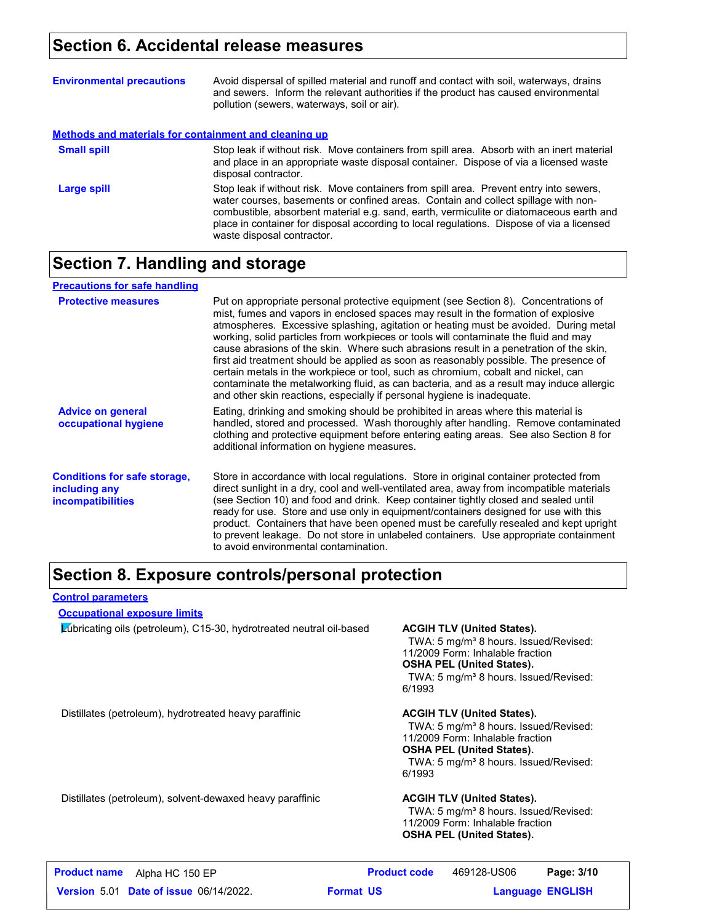## **Section 6. Accidental release measures**

| <b>Environmental precautions</b>                      | Avoid dispersal of spilled material and runoff and contact with soil, waterways, drains<br>and sewers. Inform the relevant authorities if the product has caused environmental<br>pollution (sewers, waterways, soil or air).                                                                                                                                                                      |
|-------------------------------------------------------|----------------------------------------------------------------------------------------------------------------------------------------------------------------------------------------------------------------------------------------------------------------------------------------------------------------------------------------------------------------------------------------------------|
| Methods and materials for containment and cleaning up |                                                                                                                                                                                                                                                                                                                                                                                                    |
| <b>Small spill</b>                                    | Stop leak if without risk. Move containers from spill area. Absorb with an inert material<br>and place in an appropriate waste disposal container. Dispose of via a licensed waste<br>disposal contractor.                                                                                                                                                                                         |
| Large spill                                           | Stop leak if without risk. Move containers from spill area. Prevent entry into sewers,<br>water courses, basements or confined areas. Contain and collect spillage with non-<br>combustible, absorbent material e.g. sand, earth, vermiculite or diatomaceous earth and<br>place in container for disposal according to local regulations. Dispose of via a licensed<br>waste disposal contractor. |

## **Section 7. Handling and storage**

| <b>Precautions for safe handling</b>                                      |                                                                                                                                                                                                                                                                                                                                                                                                                                                                                                                                                                                                                                                                                                                                                                                                          |
|---------------------------------------------------------------------------|----------------------------------------------------------------------------------------------------------------------------------------------------------------------------------------------------------------------------------------------------------------------------------------------------------------------------------------------------------------------------------------------------------------------------------------------------------------------------------------------------------------------------------------------------------------------------------------------------------------------------------------------------------------------------------------------------------------------------------------------------------------------------------------------------------|
| <b>Protective measures</b>                                                | Put on appropriate personal protective equipment (see Section 8). Concentrations of<br>mist, fumes and vapors in enclosed spaces may result in the formation of explosive<br>atmospheres. Excessive splashing, agitation or heating must be avoided. During metal<br>working, solid particles from workpieces or tools will contaminate the fluid and may<br>cause abrasions of the skin. Where such abrasions result in a penetration of the skin,<br>first aid treatment should be applied as soon as reasonably possible. The presence of<br>certain metals in the workpiece or tool, such as chromium, cobalt and nickel, can<br>contaminate the metalworking fluid, as can bacteria, and as a result may induce allergic<br>and other skin reactions, especially if personal hygiene is inadequate. |
| <b>Advice on general</b><br>occupational hygiene                          | Eating, drinking and smoking should be prohibited in areas where this material is<br>handled, stored and processed. Wash thoroughly after handling. Remove contaminated<br>clothing and protective equipment before entering eating areas. See also Section 8 for<br>additional information on hygiene measures.                                                                                                                                                                                                                                                                                                                                                                                                                                                                                         |
| <b>Conditions for safe storage,</b><br>including any<br>incompatibilities | Store in accordance with local regulations. Store in original container protected from<br>direct sunlight in a dry, cool and well-ventilated area, away from incompatible materials<br>(see Section 10) and food and drink. Keep container tightly closed and sealed until<br>ready for use. Store and use only in equipment/containers designed for use with this<br>product. Containers that have been opened must be carefully resealed and kept upright<br>to prevent leakage. Do not store in unlabeled containers. Use appropriate containment<br>to avoid environmental contamination.                                                                                                                                                                                                            |

## **Section 8. Exposure controls/personal protection**

#### **Control parameters**

#### **Occupational exposure limits**

Lubricating oils (petroleum), C15-30, hydrotreated neutral oil-based **ACGIH TLV (United States).**

TWA: 5 mg/m<sup>3</sup> 8 hours. Issued/Revised: 11/2009 Form: Inhalable fraction **OSHA PEL (United States).**

TWA: 5 mg/m<sup>3</sup> 8 hours. Issued/Revised: 6/1993

Distillates (petroleum), hydrotreated heavy paraffinic **ACGIH TLV (United States).**

TWA: 5 mg/m<sup>3</sup> 8 hours. Issued/Revised: 11/2009 Form: Inhalable fraction **OSHA PEL (United States).** TWA: 5 mg/m<sup>3</sup> 8 hours. Issued/Revised: 6/1993

Distillates (petroleum), solvent-dewaxed heavy paraffinic **ACGIH TLV (United States).**

TWA: 5 mg/m<sup>3</sup> 8 hours. Issued/Revised: 11/2009 Form: Inhalable fraction **OSHA PEL (United States).**

| <b>Product name</b><br>Alpha HC 150 EP        | <b>Product code</b> | 469128-US06 | Page: 3/10              |  |
|-----------------------------------------------|---------------------|-------------|-------------------------|--|
| <b>Version 5.01 Date of issue 06/14/2022.</b> | <b>Format US</b>    |             | <b>Language ENGLISH</b> |  |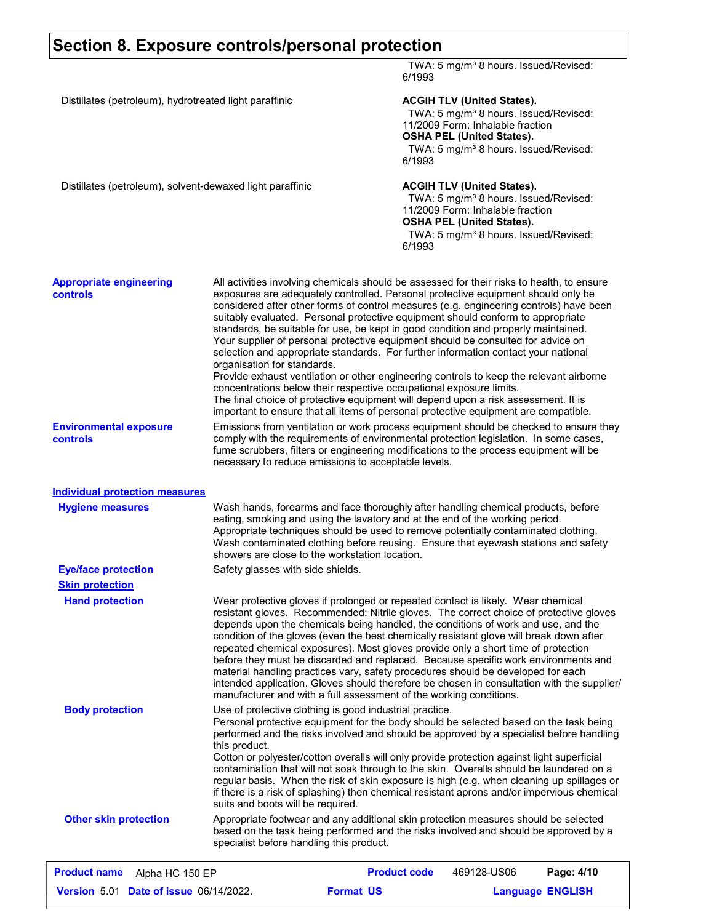## **Section 8. Exposure controls/personal protection**

|                                                           |                                                                                                                                                                                                                                                                                                                                                                                                                                                                                                                                                                                                                                                                                                                                                                                                                                                                                                                                                                                                            | 6/1993                                                                                                                                                                                                              | TWA: 5 mg/m <sup>3</sup> 8 hours. Issued/Revised:                                                                                                                                                                   |            |
|-----------------------------------------------------------|------------------------------------------------------------------------------------------------------------------------------------------------------------------------------------------------------------------------------------------------------------------------------------------------------------------------------------------------------------------------------------------------------------------------------------------------------------------------------------------------------------------------------------------------------------------------------------------------------------------------------------------------------------------------------------------------------------------------------------------------------------------------------------------------------------------------------------------------------------------------------------------------------------------------------------------------------------------------------------------------------------|---------------------------------------------------------------------------------------------------------------------------------------------------------------------------------------------------------------------|---------------------------------------------------------------------------------------------------------------------------------------------------------------------------------------------------------------------|------------|
| Distillates (petroleum), hydrotreated light paraffinic    | 6/1993                                                                                                                                                                                                                                                                                                                                                                                                                                                                                                                                                                                                                                                                                                                                                                                                                                                                                                                                                                                                     | <b>ACGIH TLV (United States).</b><br>TWA: 5 mg/m <sup>3</sup> 8 hours. Issued/Revised:<br>11/2009 Form: Inhalable fraction<br><b>OSHA PEL (United States).</b><br>TWA: 5 mg/m <sup>3</sup> 8 hours. Issued/Revised: |                                                                                                                                                                                                                     |            |
| Distillates (petroleum), solvent-dewaxed light paraffinic |                                                                                                                                                                                                                                                                                                                                                                                                                                                                                                                                                                                                                                                                                                                                                                                                                                                                                                                                                                                                            | 6/1993                                                                                                                                                                                                              | <b>ACGIH TLV (United States).</b><br>TWA: 5 mg/m <sup>3</sup> 8 hours. Issued/Revised:<br>11/2009 Form: Inhalable fraction<br><b>OSHA PEL (United States).</b><br>TWA: 5 mg/m <sup>3</sup> 8 hours. Issued/Revised: |            |
| <b>Appropriate engineering</b><br><b>controls</b>         | All activities involving chemicals should be assessed for their risks to health, to ensure<br>exposures are adequately controlled. Personal protective equipment should only be<br>considered after other forms of control measures (e.g. engineering controls) have been<br>suitably evaluated. Personal protective equipment should conform to appropriate<br>standards, be suitable for use, be kept in good condition and properly maintained.<br>Your supplier of personal protective equipment should be consulted for advice on<br>selection and appropriate standards. For further information contact your national<br>organisation for standards.<br>Provide exhaust ventilation or other engineering controls to keep the relevant airborne<br>concentrations below their respective occupational exposure limits.<br>The final choice of protective equipment will depend upon a risk assessment. It is<br>important to ensure that all items of personal protective equipment are compatible. |                                                                                                                                                                                                                     |                                                                                                                                                                                                                     |            |
| <b>Environmental exposure</b><br>controls                 | Emissions from ventilation or work process equipment should be checked to ensure they<br>comply with the requirements of environmental protection legislation. In some cases,<br>fume scrubbers, filters or engineering modifications to the process equipment will be<br>necessary to reduce emissions to acceptable levels.                                                                                                                                                                                                                                                                                                                                                                                                                                                                                                                                                                                                                                                                              |                                                                                                                                                                                                                     |                                                                                                                                                                                                                     |            |
| <b>Individual protection measures</b>                     |                                                                                                                                                                                                                                                                                                                                                                                                                                                                                                                                                                                                                                                                                                                                                                                                                                                                                                                                                                                                            |                                                                                                                                                                                                                     |                                                                                                                                                                                                                     |            |
| <b>Hygiene measures</b>                                   | Wash hands, forearms and face thoroughly after handling chemical products, before<br>eating, smoking and using the lavatory and at the end of the working period.<br>Appropriate techniques should be used to remove potentially contaminated clothing.<br>Wash contaminated clothing before reusing. Ensure that eyewash stations and safety<br>showers are close to the workstation location.                                                                                                                                                                                                                                                                                                                                                                                                                                                                                                                                                                                                            |                                                                                                                                                                                                                     |                                                                                                                                                                                                                     |            |
| <b>Eye/face protection</b>                                | Safety glasses with side shields.                                                                                                                                                                                                                                                                                                                                                                                                                                                                                                                                                                                                                                                                                                                                                                                                                                                                                                                                                                          |                                                                                                                                                                                                                     |                                                                                                                                                                                                                     |            |
| <b>Skin protection</b><br><b>Hand protection</b>          | Wear protective gloves if prolonged or repeated contact is likely. Wear chemical<br>resistant gloves. Recommended: Nitrile gloves. The correct choice of protective gloves<br>depends upon the chemicals being handled, the conditions of work and use, and the<br>condition of the gloves (even the best chemically resistant glove will break down after<br>repeated chemical exposures). Most gloves provide only a short time of protection<br>before they must be discarded and replaced. Because specific work environments and<br>material handling practices vary, safety procedures should be developed for each<br>intended application. Gloves should therefore be chosen in consultation with the supplier/<br>manufacturer and with a full assessment of the working conditions.                                                                                                                                                                                                              |                                                                                                                                                                                                                     |                                                                                                                                                                                                                     |            |
| <b>Body protection</b>                                    | Use of protective clothing is good industrial practice.<br>Personal protective equipment for the body should be selected based on the task being<br>performed and the risks involved and should be approved by a specialist before handling<br>this product.<br>Cotton or polyester/cotton overalls will only provide protection against light superficial<br>contamination that will not soak through to the skin. Overalls should be laundered on a<br>regular basis. When the risk of skin exposure is high (e.g. when cleaning up spillages or<br>if there is a risk of splashing) then chemical resistant aprons and/or impervious chemical<br>suits and boots will be required.                                                                                                                                                                                                                                                                                                                      |                                                                                                                                                                                                                     |                                                                                                                                                                                                                     |            |
| <b>Other skin protection</b>                              | Appropriate footwear and any additional skin protection measures should be selected<br>based on the task being performed and the risks involved and should be approved by a<br>specialist before handling this product.                                                                                                                                                                                                                                                                                                                                                                                                                                                                                                                                                                                                                                                                                                                                                                                    |                                                                                                                                                                                                                     |                                                                                                                                                                                                                     |            |
| <b>Product name</b><br>Alpha HC 150 EP                    |                                                                                                                                                                                                                                                                                                                                                                                                                                                                                                                                                                                                                                                                                                                                                                                                                                                                                                                                                                                                            | <b>Product code</b>                                                                                                                                                                                                 | 469128-US06                                                                                                                                                                                                         | Page: 4/10 |

**Date of issue** 06/14/2022. **Proportive State Constrainer Format US and Language ENGLIS Language ENGLISH Format US**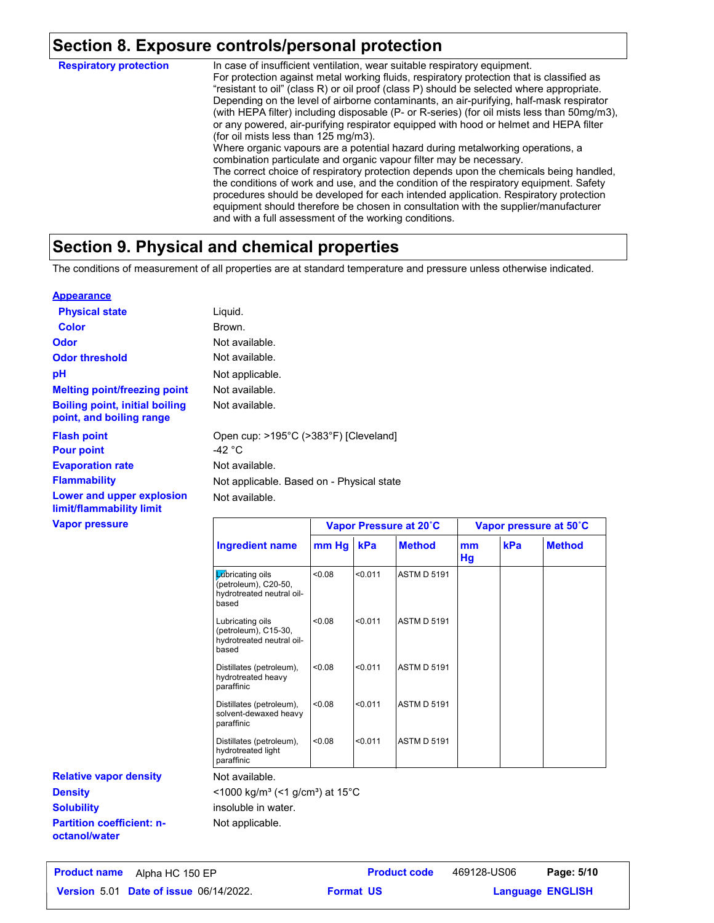## **Section 8. Exposure controls/personal protection**

In case of insufficient ventilation, wear suitable respiratory equipment. For protection against metal working fluids, respiratory protection that is classified as "resistant to oil" (class R) or oil proof (class P) should be selected where appropriate. Depending on the level of airborne contaminants, an air-purifying, half-mask respirator (with HEPA filter) including disposable (P- or R-series) (for oil mists less than 50mg/m3), or any powered, air-purifying respirator equipped with hood or helmet and HEPA filter (for oil mists less than 125 mg/m3). Where organic vapours are a potential hazard during metalworking operations, a combination particulate and organic vapour filter may be necessary. The correct choice of respiratory protection depends upon the chemicals being handled, the conditions of work and use, and the condition of the respiratory equipment. Safety procedures should be developed for each intended application. Respiratory protection equipment should therefore be chosen in consultation with the supplier/manufacturer and with a full assessment of the working conditions. **Respiratory protection**

## **Section 9. Physical and chemical properties**

The conditions of measurement of all properties are at standard temperature and pressure unless otherwise indicated.

#### **Appearance**

| <b>Physical state</b>                                             | Liquid.                                         |                        |
|-------------------------------------------------------------------|-------------------------------------------------|------------------------|
| <b>Color</b>                                                      | Brown.                                          |                        |
| <b>Odor</b>                                                       | Not available.                                  |                        |
| <b>Odor threshold</b>                                             | Not available.                                  |                        |
| pH                                                                | Not applicable.                                 |                        |
| <b>Melting point/freezing point</b>                               | Not available.                                  |                        |
| <b>Boiling point, initial boiling</b><br>point, and boiling range | Not available.                                  |                        |
| <b>Flash point</b><br><b>Pour point</b>                           | Open cup: >195°C (>383°F) [Cleveland]<br>-42 °C |                        |
| <b>Evaporation rate</b>                                           | Not available.                                  |                        |
| <b>Flammability</b>                                               | Not applicable. Based on - Physical state       |                        |
| Lower and upper explosion<br>limit/flammability limit             | Not available.                                  |                        |
| <b>Vapor pressure</b>                                             |                                                 | Vanor Pressure at 20°C |

|                                                                                | Vapor Pressure at 20°C |         |                    | Vapor pressure at 50°C |     |               |
|--------------------------------------------------------------------------------|------------------------|---------|--------------------|------------------------|-----|---------------|
| <b>Ingredient name</b>                                                         | mm Hg                  | kPa     | <b>Method</b>      | mm<br>Hg               | kPa | <b>Method</b> |
| Lúbricating oils<br>(petroleum), C20-50,<br>hydrotreated neutral oil-<br>based | 0.08                   | < 0.011 | <b>ASTM D 5191</b> |                        |     |               |
| Lubricating oils<br>(petroleum), C15-30,<br>hydrotreated neutral oil-<br>based | < 0.08                 | < 0.011 | <b>ASTM D 5191</b> |                        |     |               |
| Distillates (petroleum),<br>hydrotreated heavy<br>paraffinic                   | < 0.08                 | < 0.011 | <b>ASTM D 5191</b> |                        |     |               |
| Distillates (petroleum),<br>solvent-dewaxed heavy<br>paraffinic                | < 0.08                 | < 0.011 | <b>ASTM D 5191</b> |                        |     |               |
| Distillates (petroleum),<br>hydrotreated light<br>paraffinic                   | < 0.08                 | < 0.011 | <b>ASTM D 5191</b> |                        |     |               |

 $<$ 1000 kg/m<sup>3</sup> (<1 g/cm<sup>3</sup>) at 15°C

insoluble in water.

Not applicable.

**Partition coefficient: noctanol/water Solubility**

**Relative vapor density**

**Density**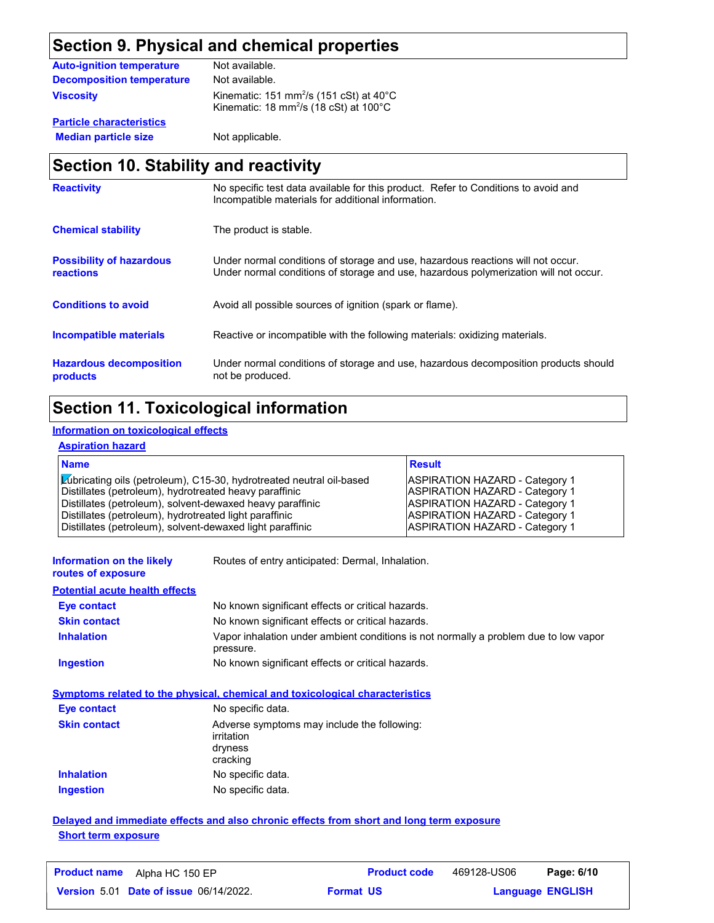## **Section 9. Physical and chemical properties**

| <b>Auto-ignition temperature</b> | Not available.                                                                                                                |
|----------------------------------|-------------------------------------------------------------------------------------------------------------------------------|
| <b>Decomposition temperature</b> | Not available.                                                                                                                |
| <b>Viscosity</b>                 | Kinematic: 151 mm <sup>2</sup> /s (151 cSt) at $40^{\circ}$ C<br>Kinematic: 18 mm <sup>2</sup> /s (18 cSt) at $100^{\circ}$ C |

**Particle characteristics Median particle size** Not applicable.

## **Section 10. Stability and reactivity**

| <b>Reactivity</b>                            | No specific test data available for this product. Refer to Conditions to avoid and<br>Incompatible materials for additional information.                                |
|----------------------------------------------|-------------------------------------------------------------------------------------------------------------------------------------------------------------------------|
| <b>Chemical stability</b>                    | The product is stable.                                                                                                                                                  |
| <b>Possibility of hazardous</b><br>reactions | Under normal conditions of storage and use, hazardous reactions will not occur.<br>Under normal conditions of storage and use, hazardous polymerization will not occur. |
| <b>Conditions to avoid</b>                   | Avoid all possible sources of ignition (spark or flame).                                                                                                                |
| <b>Incompatible materials</b>                | Reactive or incompatible with the following materials: oxidizing materials.                                                                                             |
| <b>Hazardous decomposition</b><br>products   | Under normal conditions of storage and use, hazardous decomposition products should<br>not be produced.                                                                 |

## **Section 11. Toxicological information**

#### **Information on toxicological effects**

#### **Aspiration hazard**

| <b>Name</b>                                                                                                                                                                                                                                           | <b>Result</b>                                                                                                                                      |
|-------------------------------------------------------------------------------------------------------------------------------------------------------------------------------------------------------------------------------------------------------|----------------------------------------------------------------------------------------------------------------------------------------------------|
| Lúbricating oils (petroleum), C15-30, hydrotreated neutral oil-based<br>Distillates (petroleum), hydrotreated heavy paraffinic<br>Distillates (petroleum), solvent-dewaxed heavy paraffinic<br>Distillates (petroleum), hydrotreated light paraffinic | ASPIRATION HAZARD - Category 1<br><b>ASPIRATION HAZARD - Category 1</b><br><b>ASPIRATION HAZARD - Category 1</b><br>ASPIRATION HAZARD - Category 1 |
| Distillates (petroleum), solvent-dewaxed light paraffinic                                                                                                                                                                                             | <b>ASPIRATION HAZARD - Category 1</b>                                                                                                              |

| Information on the likely |  |
|---------------------------|--|
| routes of exposure        |  |

Routes of entry anticipated: Dermal, Inhalation.

#### **Potential acute health effects**

| <b>Eve contact</b>  | No known significant effects or critical hazards.                                                 |
|---------------------|---------------------------------------------------------------------------------------------------|
| <b>Skin contact</b> | No known significant effects or critical hazards.                                                 |
| <b>Inhalation</b>   | Vapor inhalation under ambient conditions is not normally a problem due to low vapor<br>pressure. |
| Ingestion           | No known significant effects or critical hazards.                                                 |

#### **Symptoms related to the physical, chemical and toxicological characteristics**

| <b>Eye contact</b>  | No specific data.                                                                |
|---------------------|----------------------------------------------------------------------------------|
| <b>Skin contact</b> | Adverse symptoms may include the following:<br>irritation<br>dryness<br>cracking |
| <b>Inhalation</b>   | No specific data.                                                                |
| <b>Ingestion</b>    | No specific data.                                                                |

#### **Delayed and immediate effects and also chronic effects from short and long term exposure Short term exposure**

| <b>Product name</b> Alpha HC 150 EP           | <b>Product code</b> | 469128-US06 | Page: 6/10              |  |
|-----------------------------------------------|---------------------|-------------|-------------------------|--|
| <b>Version 5.01 Date of issue 06/14/2022.</b> | <b>Format US</b>    |             | <b>Language ENGLISH</b> |  |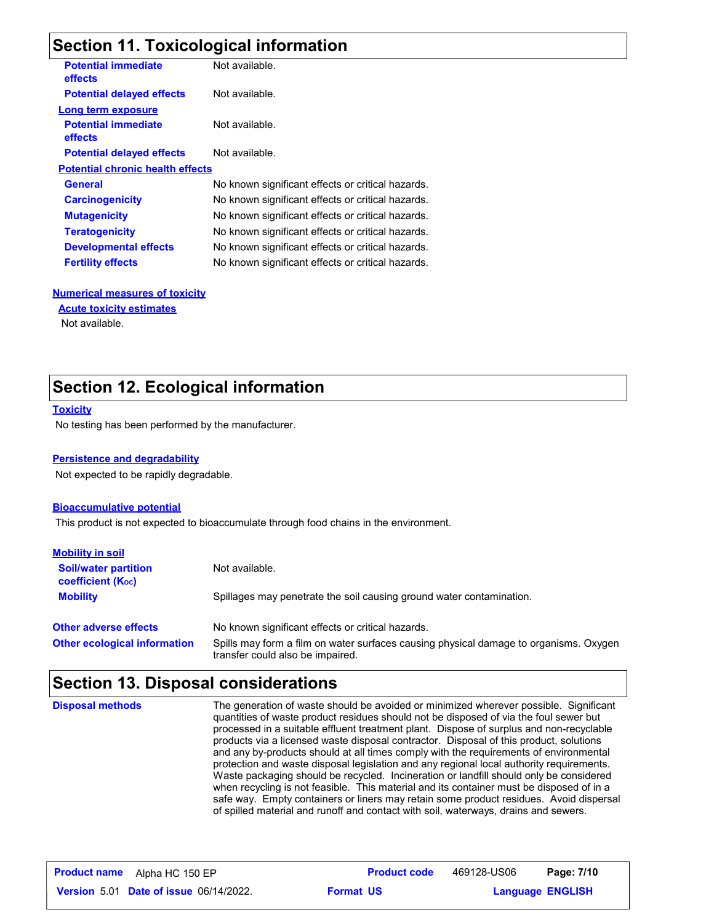## **Section 11. Toxicological information**

| <b>Potential immediate</b><br><b>effects</b> | Not available.                                    |
|----------------------------------------------|---------------------------------------------------|
| <b>Potential delayed effects</b>             | Not available.                                    |
| Long term exposure                           |                                                   |
| <b>Potential immediate</b><br>effects        | Not available.                                    |
| <b>Potential delayed effects</b>             | Not available.                                    |
| <b>Potential chronic health effects</b>      |                                                   |
| <b>General</b>                               | No known significant effects or critical hazards. |
| <b>Carcinogenicity</b>                       | No known significant effects or critical hazards. |
| <b>Mutagenicity</b>                          | No known significant effects or critical hazards. |
| <b>Teratogenicity</b>                        | No known significant effects or critical hazards. |
| <b>Developmental effects</b>                 | No known significant effects or critical hazards. |
| <b>Fertility effects</b>                     | No known significant effects or critical hazards. |
|                                              |                                                   |

#### **Numerical measures of toxicity**

#### **Acute toxicity estimates**

Not available.

## **Section 12. Ecological information**

#### **Toxicity**

No testing has been performed by the manufacturer.

#### **Persistence and degradability**

Not expected to be rapidly degradable.

#### **Bioaccumulative potential**

This product is not expected to bioaccumulate through food chains in the environment.

| <b>Mobility in soil</b>                                 |                                                                                                                           |
|---------------------------------------------------------|---------------------------------------------------------------------------------------------------------------------------|
| <b>Soil/water partition</b><br><b>coefficient (Koc)</b> | Not available.                                                                                                            |
| <b>Mobility</b>                                         | Spillages may penetrate the soil causing ground water contamination.                                                      |
| <b>Other adverse effects</b>                            | No known significant effects or critical hazards.                                                                         |
| <b>Other ecological information</b>                     | Spills may form a film on water surfaces causing physical damage to organisms. Oxygen<br>transfer could also be impaired. |

### **Section 13. Disposal considerations**

The generation of waste should be avoided or minimized wherever possible. Significant quantities of waste product residues should not be disposed of via the foul sewer but processed in a suitable effluent treatment plant. Dispose of surplus and non-recyclable products via a licensed waste disposal contractor. Disposal of this product, solutions and any by-products should at all times comply with the requirements of environmental protection and waste disposal legislation and any regional local authority requirements. Waste packaging should be recycled. Incineration or landfill should only be considered when recycling is not feasible. This material and its container must be disposed of in a safe way. Empty containers or liners may retain some product residues. Avoid dispersal of spilled material and runoff and contact with soil, waterways, drains and sewers. **Disposal methods**

| <b>Product name</b> | Alpha HC 150 EP                               |                  | <b>Product code</b> | 469128-US06             | Page: 7/10 |  |
|---------------------|-----------------------------------------------|------------------|---------------------|-------------------------|------------|--|
|                     | <b>Version 5.01 Date of issue 06/14/2022.</b> | <b>Format US</b> |                     | <b>Language ENGLISH</b> |            |  |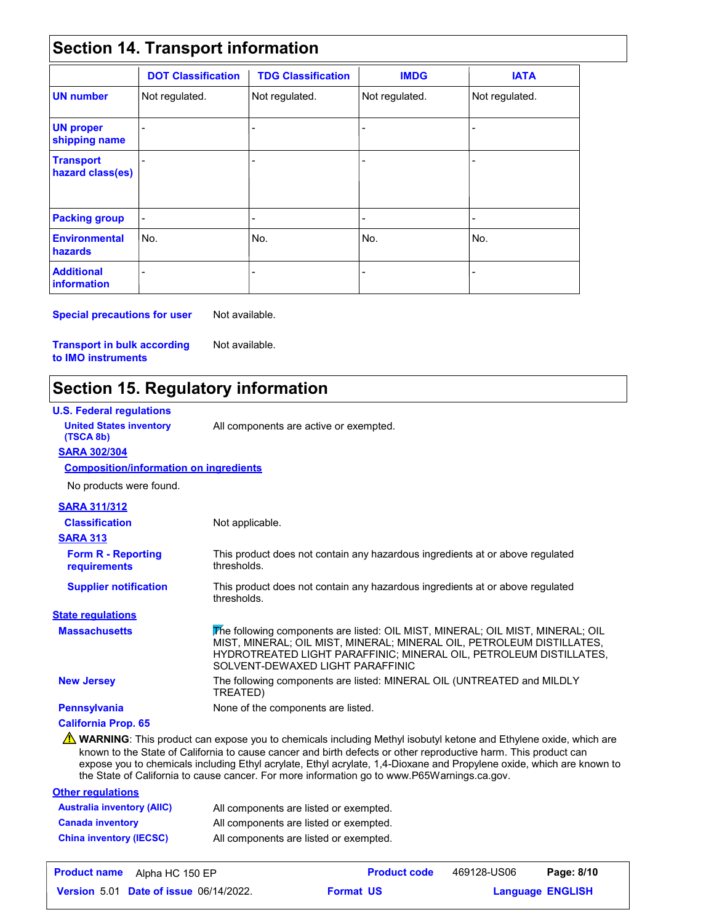## **Section 14. Transport information**

|                                         | <b>DOT Classification</b> | <b>TDG Classification</b> | <b>IMDG</b>    | <b>IATA</b>    |
|-----------------------------------------|---------------------------|---------------------------|----------------|----------------|
| <b>UN number</b>                        | Not regulated.            | Not regulated.            | Not regulated. | Not regulated. |
| <b>UN proper</b><br>shipping name       |                           | -                         | $\overline{a}$ |                |
| <b>Transport</b><br>hazard class(es)    |                           | $\overline{a}$            | $\blacksquare$ |                |
| <b>Packing group</b>                    | $\overline{\phantom{a}}$  | -                         | $\blacksquare$ | ٠              |
| <b>Environmental</b><br>hazards         | No.                       | l No.                     | No.            | No.            |
| <b>Additional</b><br><b>information</b> |                           |                           |                |                |

**Special precautions for user** Not available.

**Transport in bulk according to IMO instruments**

## **Section 15. Regulatory information**

Not available.

| <b>U.S. Federal regulations</b>               |                                                                                                                                                                                                                                                                                                                                                              |
|-----------------------------------------------|--------------------------------------------------------------------------------------------------------------------------------------------------------------------------------------------------------------------------------------------------------------------------------------------------------------------------------------------------------------|
| <b>United States inventory</b><br>(TSCA 8b)   | All components are active or exempted.                                                                                                                                                                                                                                                                                                                       |
| <b>SARA 302/304</b>                           |                                                                                                                                                                                                                                                                                                                                                              |
| <b>Composition/information on ingredients</b> |                                                                                                                                                                                                                                                                                                                                                              |
| No products were found.                       |                                                                                                                                                                                                                                                                                                                                                              |
| <b>SARA 311/312</b>                           |                                                                                                                                                                                                                                                                                                                                                              |
| <b>Classification</b>                         | Not applicable.                                                                                                                                                                                                                                                                                                                                              |
| <b>SARA 313</b>                               |                                                                                                                                                                                                                                                                                                                                                              |
| <b>Form R - Reporting</b><br>requirements     | This product does not contain any hazardous ingredients at or above regulated<br>thresholds.                                                                                                                                                                                                                                                                 |
| <b>Supplier notification</b>                  | This product does not contain any hazardous ingredients at or above regulated<br>thresholds.                                                                                                                                                                                                                                                                 |
| <b>State regulations</b>                      |                                                                                                                                                                                                                                                                                                                                                              |
| <b>Massachusetts</b>                          | The following components are listed: OIL MIST, MINERAL; OIL MIST, MINERAL; OIL<br>MIST, MINERAL; OIL MIST, MINERAL; MINERAL OIL, PETROLEUM DISTILLATES,<br>HYDROTREATED LIGHT PARAFFINIC; MINERAL OIL, PETROLEUM DISTILLATES,<br>SOLVENT-DEWAXED LIGHT PARAFFINIC                                                                                            |
| <b>New Jersey</b>                             | The following components are listed: MINERAL OIL (UNTREATED and MILDLY<br>TREATED)                                                                                                                                                                                                                                                                           |
| <b>Pennsylvania</b>                           | None of the components are listed.                                                                                                                                                                                                                                                                                                                           |
| <b>California Prop. 65</b>                    |                                                                                                                                                                                                                                                                                                                                                              |
|                                               | WARNING: This product can expose you to chemicals including Methyl isobutyl ketone and Ethylene oxide, which are<br>known to the State of California to cause cancer and birth defects or other reproductive harm. This product can<br>expose you to chemicals including Ethyl acrylate, Ethyl acrylate, 1,4-Dioxane and Propylene oxide, which are known to |

**Other regulations** the State of California to cause cancer. For more information go to www.P65Warnings.ca.gov.

| <b>Australia inventory (AIIC)</b> | All components are listed or exempted. |
|-----------------------------------|----------------------------------------|
| <b>Canada inventory</b>           | All components are listed or exempted. |
| <b>China inventory (IECSC)</b>    | All components are listed or exempted. |

| <b>Product name</b><br>Alpha HC 150 EP        | <b>Product code</b> | 469128-US06 | Page: 8/10              |
|-----------------------------------------------|---------------------|-------------|-------------------------|
| <b>Version 5.01 Date of issue 06/14/2022.</b> | <b>Format US</b>    |             | <b>Language ENGLISH</b> |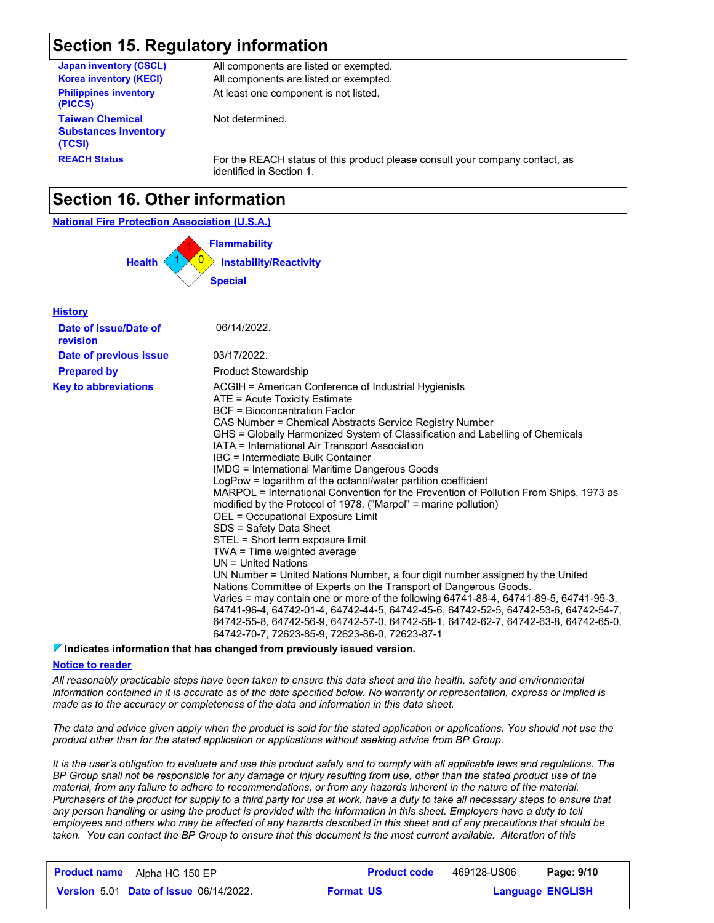## **Section 15. Regulatory information**

| <b>Japan inventory (CSCL)</b>                                   | All components are listed or exempted.                                                                   |
|-----------------------------------------------------------------|----------------------------------------------------------------------------------------------------------|
| <b>Korea inventory (KECI)</b>                                   | All components are listed or exempted.                                                                   |
| <b>Philippines inventory</b><br>(PICCS)                         | At least one component is not listed.                                                                    |
| <b>Taiwan Chemical</b><br><b>Substances Inventory</b><br>(TCSI) | Not determined.                                                                                          |
| <b>REACH Status</b>                                             | For the REACH status of this product please consult your company contact, as<br>identified in Section 1. |

## **Section 16. Other information**

#### **National Fire Protection Association (U.S.A.)**



| <b>History</b>                    |                                                                                                                                                                                                                                                                                                                                                                                                                                                                                                                                                                                                                                                                                                                                                                                                                                                                                                                                                                                                                                                                                                                                                                                                                                                                                           |
|-----------------------------------|-------------------------------------------------------------------------------------------------------------------------------------------------------------------------------------------------------------------------------------------------------------------------------------------------------------------------------------------------------------------------------------------------------------------------------------------------------------------------------------------------------------------------------------------------------------------------------------------------------------------------------------------------------------------------------------------------------------------------------------------------------------------------------------------------------------------------------------------------------------------------------------------------------------------------------------------------------------------------------------------------------------------------------------------------------------------------------------------------------------------------------------------------------------------------------------------------------------------------------------------------------------------------------------------|
| Date of issue/Date of<br>revision | 06/14/2022.                                                                                                                                                                                                                                                                                                                                                                                                                                                                                                                                                                                                                                                                                                                                                                                                                                                                                                                                                                                                                                                                                                                                                                                                                                                                               |
| Date of previous issue            | 03/17/2022.                                                                                                                                                                                                                                                                                                                                                                                                                                                                                                                                                                                                                                                                                                                                                                                                                                                                                                                                                                                                                                                                                                                                                                                                                                                                               |
| <b>Prepared by</b>                | <b>Product Stewardship</b>                                                                                                                                                                                                                                                                                                                                                                                                                                                                                                                                                                                                                                                                                                                                                                                                                                                                                                                                                                                                                                                                                                                                                                                                                                                                |
| <b>Key to abbreviations</b>       | ACGIH = American Conference of Industrial Hygienists<br>ATE = Acute Toxicity Estimate<br>BCF = Bioconcentration Factor<br>CAS Number = Chemical Abstracts Service Registry Number<br>GHS = Globally Harmonized System of Classification and Labelling of Chemicals<br>IATA = International Air Transport Association<br>IBC = Intermediate Bulk Container<br><b>IMDG = International Maritime Dangerous Goods</b><br>LogPow = logarithm of the octanol/water partition coefficient<br>MARPOL = International Convention for the Prevention of Pollution From Ships, 1973 as<br>modified by the Protocol of 1978. ("Marpol" = marine pollution)<br>OEL = Occupational Exposure Limit<br>SDS = Safety Data Sheet<br>STEL = Short term exposure limit<br>TWA = Time weighted average<br>$UN = United Nations$<br>UN Number = United Nations Number, a four digit number assigned by the United<br>Nations Committee of Experts on the Transport of Dangerous Goods.<br>Varies = may contain one or more of the following 64741-88-4, 64741-89-5, 64741-95-3,<br>64741-96-4, 64742-01-4, 64742-44-5, 64742-45-6, 64742-52-5, 64742-53-6, 64742-54-7,<br>64742-55-8, 64742-56-9, 64742-57-0, 64742-58-1, 64742-62-7, 64742-63-8, 64742-65-0,<br>64742-70-7, 72623-85-9, 72623-86-0, 72623-87-1 |

#### **Indicates information that has changed from previously issued version.**

#### **Notice to reader**

*All reasonably practicable steps have been taken to ensure this data sheet and the health, safety and environmental information contained in it is accurate as of the date specified below. No warranty or representation, express or implied is made as to the accuracy or completeness of the data and information in this data sheet.*

*The data and advice given apply when the product is sold for the stated application or applications. You should not use the product other than for the stated application or applications without seeking advice from BP Group.*

*It is the user's obligation to evaluate and use this product safely and to comply with all applicable laws and regulations. The BP Group shall not be responsible for any damage or injury resulting from use, other than the stated product use of the material, from any failure to adhere to recommendations, or from any hazards inherent in the nature of the material. Purchasers of the product for supply to a third party for use at work, have a duty to take all necessary steps to ensure that*  any person handling or using the product is provided with the information in this sheet. Employers have a duty to tell *employees and others who may be affected of any hazards described in this sheet and of any precautions that should be taken. You can contact the BP Group to ensure that this document is the most current available. Alteration of this* 

| <b>Product name</b><br>Alpha HC 150 EP        | <b>Product code</b> | 469128-US06             | Page: 9/10 |
|-----------------------------------------------|---------------------|-------------------------|------------|
| <b>Version 5.01 Date of issue 06/14/2022.</b> | <b>Format US</b>    | <b>Language ENGLISH</b> |            |